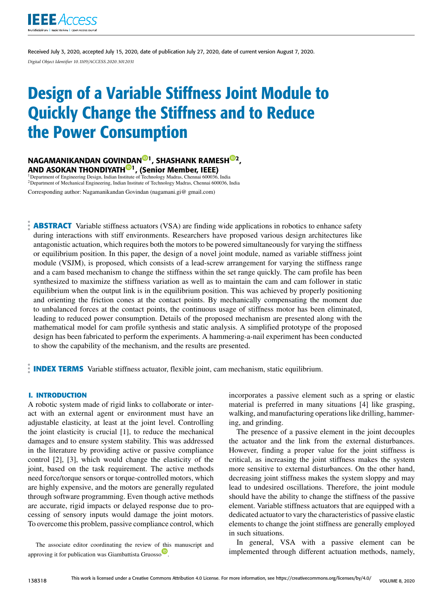

Received July 3, 2020, accepted July 15, 2020, date of publication July 27, 2020, date of current version August 7, 2020. *Digital Object Identifier 10.1109/ACCESS.2020.3012031*

# Design of a Variable Stiffness Joint Module to Quickly Change the Stiffness and to Reduce the Power Consumption

NAGAMANIKANDAN GOVINDAN<sup>®1</sup>, SHASHANK RAMESH<sup>®2</sup>, AND ASOKAN THONDIYATH<sup>10</sup>, (Senior Member, IEEE)<br><sup>1</sup>Department of Engineering Design, Indian Institute of Technology Madras, Chennai 600036, India

<sup>2</sup>Department of Mechanical Engineering, Indian Institute of Technology Madras, Chennai 600036, India Corresponding author: Nagamanikandan Govindan (nagamani.gi@ gmail.com)

**ABSTRACT** Variable stiffness actuators (VSA) are finding wide applications in robotics to enhance safety during interactions with stiff environments. Researchers have proposed various design architectures like antagonistic actuation, which requires both the motors to be powered simultaneously for varying the stiffness or equilibrium position. In this paper, the design of a novel joint module, named as variable stiffness joint module (VSJM), is proposed, which consists of a lead-screw arrangement for varying the stiffness range and a cam based mechanism to change the stiffness within the set range quickly. The cam profile has been synthesized to maximize the stiffness variation as well as to maintain the cam and cam follower in static equilibrium when the output link is in the equilibrium position. This was achieved by properly positioning and orienting the friction cones at the contact points. By mechanically compensating the moment due to unbalanced forces at the contact points, the continuous usage of stiffness motor has been eliminated, leading to reduced power consumption. Details of the proposed mechanism are presented along with the mathematical model for cam profile synthesis and static analysis. A simplified prototype of the proposed design has been fabricated to perform the experiments. A hammering-a-nail experiment has been conducted to show the capability of the mechanism, and the results are presented.

**INDEX TERMS** Variable stiffness actuator, flexible joint, cam mechanism, static equilibrium.

## **I. INTRODUCTION**

A robotic system made of rigid links to collaborate or interact with an external agent or environment must have an adjustable elasticity, at least at the joint level. Controlling the joint elasticity is crucial [1], to reduce the mechanical damages and to ensure system stability. This was addressed in the literature by providing active or passive compliance control [2], [3], which would change the elasticity of the joint, based on the task requirement. The active methods need force/torque sensors or torque-controlled motors, which are highly expensive, and the motors are generally regulated through software programming. Even though active methods are accurate, rigid impacts or delayed response due to processing of sensory inputs would damage the joint motors. To overcome this problem, passive compliance control, which

The associate editor coordinating the review of this manuscript and approving it for publication was Giambattista Gruosso

incorporates a passive element such as a spring or elastic material is preferred in many situations [4] like grasping, walking, and manufacturing operations like drilling, hammering, and grinding.

The presence of a passive element in the joint decouples the actuator and the link from the external disturbances. However, finding a proper value for the joint stiffness is critical, as increasing the joint stiffness makes the system more sensitive to external disturbances. On the other hand, decreasing joint stiffness makes the system sloppy and may lead to undesired oscillations. Therefore, the joint module should have the ability to change the stiffness of the passive element. Variable stiffness actuators that are equipped with a dedicated actuator to vary the characteristics of passive elastic elements to change the joint stiffness are generally employed in such situations.

In general, VSA with a passive element can be implemented through different actuation methods, namely,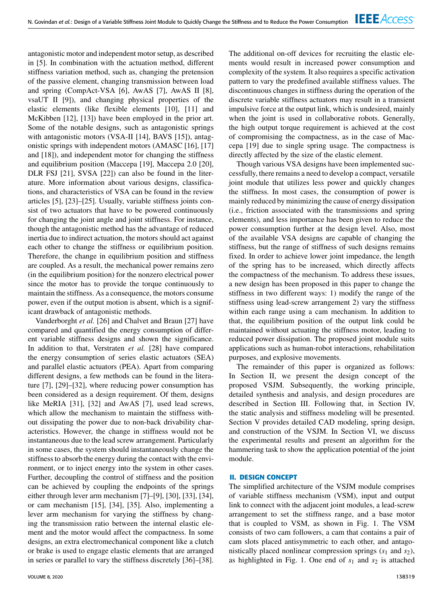antagonistic motor and independent motor setup, as described in [5]. In combination with the actuation method, different stiffness variation method, such as, changing the pretension of the passive element, changing transmission between load and spring (CompAct-VSA [6], AwAS [7], AwAS II [8], vsaUT II [9]), and changing physical properties of the elastic elements (like flexible elements [10], [11] and McKibben [12], [13]) have been employed in the prior art. Some of the notable designs, such as antagonistic springs with antagonistic motors (VSA-II [14], BAVS [15]), antagonistic springs with independent motors (AMASC [16], [17] and [18]), and independent motor for changing the stiffness and equilibrium position (Maccepa [19], Maccepa 2.0 [20], DLR FSJ [21], SVSA [22]) can also be found in the literature. More information about various designs, classifications, and characteristics of VSA can be found in the review articles [5], [23]–[25]. Usually, variable stiffness joints consist of two actuators that have to be powered continuously for changing the joint angle and joint stiffness. For instance, though the antagonistic method has the advantage of reduced inertia due to indirect actuation, the motors should act against each other to change the stiffness or equilibrium position. Therefore, the change in equilibrium position and stiffness are coupled. As a result, the mechanical power remains zero (in the equilibrium position) for the nonzero electrical power since the motor has to provide the torque continuously to maintain the stiffness. As a consequence, the motors consume power, even if the output motion is absent, which is a significant drawback of antagonistic methods.

Vanderborght *et al.* [26] and Chalvet and Braun [27] have compared and quantified the energy consumption of different variable stiffness designs and shown the significance. In addition to that, Verstraten *et al.* [28] have compared the energy consumption of series elastic actuators (SEA) and parallel elastic actuators (PEA). Apart from comparing different designs, a few methods can be found in the literature [7], [29]–[32], where reducing power consumption has been considered as a design requirement. Of them, designs like MeRIA [31], [32] and AwAS [7], used lead screws, which allow the mechanism to maintain the stiffness without dissipating the power due to non-back drivability characteristics. However, the change in stiffness would not be instantaneous due to the lead screw arrangement. Particularly in some cases, the system should instantaneously change the stiffness to absorb the energy during the contact with the environment, or to inject energy into the system in other cases. Further, decoupling the control of stiffness and the position can be achieved by coupling the endpoints of the springs either through lever arm mechanism [7]–[9], [30], [33], [34], or cam mechanism [15], [34], [35]. Also, implementing a lever arm mechanism for varying the stiffness by changing the transmission ratio between the internal elastic element and the motor would affect the compactness. In some designs, an extra electromechanical component like a clutch or brake is used to engage elastic elements that are arranged in series or parallel to vary the stiffness discretely [36]–[38].

The additional on-off devices for recruiting the elastic elements would result in increased power consumption and complexity of the system. It also requires a specific activation pattern to vary the predefined available stiffness values. The discontinuous changes in stiffness during the operation of the discrete variable stiffness actuators may result in a transient impulsive force at the output link, which is undesired, mainly when the joint is used in collaborative robots. Generally, the high output torque requirement is achieved at the cost of compromising the compactness, as in the case of Maccepa [19] due to single spring usage. The compactness is directly affected by the size of the elastic element.

Though various VSA designs have been implemented successfully, there remains a need to develop a compact, versatile joint module that utilizes less power and quickly changes the stiffness. In most cases, the consumption of power is mainly reduced by minimizing the cause of energy dissipation (i.e., friction associated with the transmissions and spring elements), and less importance has been given to reduce the power consumption further at the design level. Also, most of the available VSA designs are capable of changing the stiffness, but the range of stiffness of such designs remains fixed. In order to achieve lower joint impedance, the length of the spring has to be increased, which directly affects the compactness of the mechanism. To address these issues, a new design has been proposed in this paper to change the stiffness in two different ways: 1) modify the range of the stiffness using lead-screw arrangement 2) vary the stiffness within each range using a cam mechanism. In addition to that, the equilibrium position of the output link could be maintained without actuating the stiffness motor, leading to reduced power dissipation. The proposed joint module suits applications such as human-robot interactions, rehabilitation purposes, and explosive movements.

The remainder of this paper is organized as follows: In Section II, we present the design concept of the proposed VSJM. Subsequently, the working principle, detailed synthesis and analysis, and design procedures are described in Section III. Following that, in Section IV, the static analysis and stiffness modeling will be presented. Section V provides detailed CAD modeling, spring design, and construction of the VSJM. In Section VI, we discuss the experimental results and present an algorithm for the hammering task to show the application potential of the joint module.

## **II. DESIGN CONCEPT**

The simplified architecture of the VSJM module comprises of variable stiffness mechanism (VSM), input and output link to connect with the adjacent joint modules, a lead-screw arrangement to set the stiffness range, and a base motor that is coupled to VSM, as shown in Fig. 1. The VSM consists of two cam followers, a cam that contains a pair of cam slots placed antisymmetric to each other, and antagonistically placed nonlinear compression springs (*s*<sup>1</sup> and *s*2), as highlighted in Fig. 1. One end of *s*<sup>1</sup> and *s*<sup>2</sup> is attached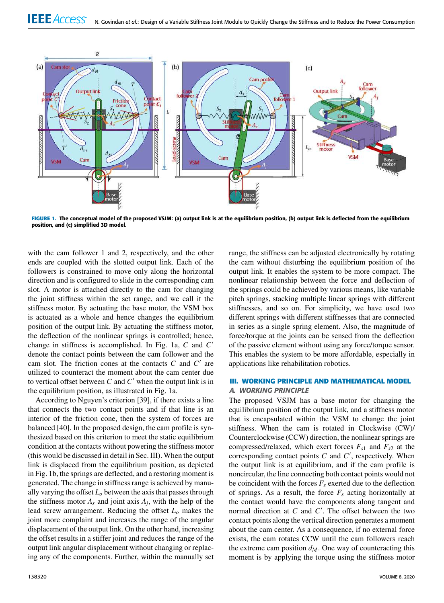

**FIGURE 1.** The conceptual model of the proposed VSJM: (a) output link is at the equilibrium position, (b) output link is deflected from the equilibrium position, and (c) simplified 3D model.

with the cam follower 1 and 2, respectively, and the other ends are coupled with the slotted output link. Each of the followers is constrained to move only along the horizontal direction and is configured to slide in the corresponding cam slot. A motor is attached directly to the cam for changing the joint stiffness within the set range, and we call it the stiffness motor. By actuating the base motor, the VSM box is actuated as a whole and hence changes the equilibrium position of the output link. By actuating the stiffness motor, the deflection of the nonlinear springs is controlled; hence, change in stiffness is accomplished. In Fig. 1a, *C* and *C* ′ denote the contact points between the cam follower and the cam slot. The friction cones at the contacts  $C$  and  $C'$  are utilized to counteract the moment about the cam center due to vertical offset between  $C$  and  $C'$  when the output link is in the equilibrium position, as illustrated in Fig. 1a.

According to Nguyen's criterion [39], if there exists a line that connects the two contact points and if that line is an interior of the friction cone, then the system of forces are balanced [40]. In the proposed design, the cam profile is synthesized based on this criterion to meet the static equilibrium condition at the contacts without powering the stiffness motor (this would be discussed in detail in Sec. III). When the output link is displaced from the equilibrium position, as depicted in Fig. 1b, the springs are deflected, and a restoring moment is generated. The change in stiffness range is achieved by manually varying the offset  $L<sub>o</sub>$  between the axis that passes through the stiffness motor  $A_s$  and joint axis  $A_j$ , with the help of the lead screw arrangement. Reducing the offset *L<sup>o</sup>* makes the joint more complaint and increases the range of the angular displacement of the output link. On the other hand, increasing the offset results in a stiffer joint and reduces the range of the output link angular displacement without changing or replacing any of the components. Further, within the manually set range, the stiffness can be adjusted electronically by rotating the cam without disturbing the equilibrium position of the output link. It enables the system to be more compact. The nonlinear relationship between the force and deflection of the springs could be achieved by various means, like variable pitch springs, stacking multiple linear springs with different stiffnesses, and so on. For simplicity, we have used two different springs with different stiffnesses that are connected in series as a single spring element. Also, the magnitude of force/torque at the joints can be sensed from the deflection of the passive element without using any force/torque sensor. This enables the system to be more affordable, especially in applications like rehabilitation robotics.

# **III. WORKING PRINCIPLE AND MATHEMATICAL MODEL** *A. WORKING PRINCIPLE*

The proposed VSJM has a base motor for changing the equilibrium position of the output link, and a stiffness motor that is encapsulated within the VSM to change the joint stiffness. When the cam is rotated in Clockwise (CW)/ Counterclockwise (CCW) direction, the nonlinear springs are compressed/relaxed, which exert forces  $F_{s1}$  and  $F_{s2}$  at the corresponding contact points  $C$  and  $C'$ , respectively. When the output link is at equilibrium, and if the cam profile is noncircular, the line connecting both contact points would not be coincident with the forces  $F_s$  exerted due to the deflection of springs. As a result, the force  $F<sub>s</sub>$  acting horizontally at the contact would have the components along tangent and normal direction at *C* and *C* ′ . The offset between the two contact points along the vertical direction generates a moment about the cam center. As a consequence, if no external force exists, the cam rotates CCW until the cam followers reach the extreme cam position  $d_M$ . One way of counteracting this moment is by applying the torque using the stiffness motor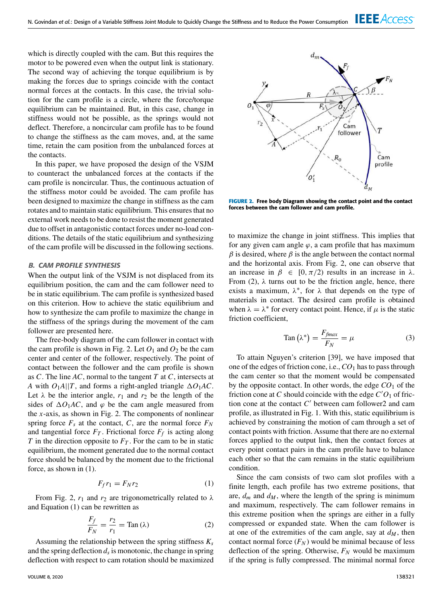which is directly coupled with the cam. But this requires the motor to be powered even when the output link is stationary. The second way of achieving the torque equilibrium is by making the forces due to springs coincide with the contact normal forces at the contacts. In this case, the trivial solution for the cam profile is a circle, where the force/torque equilibrium can be maintained. But, in this case, change in stiffness would not be possible, as the springs would not deflect. Therefore, a noncircular cam profile has to be found to change the stiffness as the cam moves, and, at the same time, retain the cam position from the unbalanced forces at the contacts.

In this paper, we have proposed the design of the VSJM to counteract the unbalanced forces at the contacts if the cam profile is noncircular. Thus, the continuous actuation of the stiffness motor could be avoided. The cam profile has been designed to maximize the change in stiffness as the cam rotates and to maintain static equilibrium. This ensures that no external work needs to be done to resist the moment generated due to offset in antagonistic contact forces under no-load conditions. The details of the static equilibrium and synthesizing of the cam profile will be discussed in the following sections.

## *B. CAM PROFILE SYNTHESIS*

When the output link of the VSJM is not displaced from its equilibrium position, the cam and the cam follower need to be in static equilibrium. The cam profile is synthesized based on this criterion. How to achieve the static equilibrium and how to synthesize the cam profile to maximize the change in the stiffness of the springs during the movement of the cam follower are presented here.

The free-body diagram of the cam follower in contact with the cam profile is shown in Fig. 2. Let  $O_1$  and  $O_2$  be the cam center and center of the follower, respectively. The point of contact between the follower and the cam profile is shown as *C*. The line *AC*, normal to the tangent *T* at *C*, intersects at *A* with  $O_1A||T$ , and forms a right-angled triangle  $\Delta O_1AC$ . Let  $\lambda$  be the interior angle,  $r_1$  and  $r_2$  be the length of the sides of  $\Delta O_1AC$ , and  $\varphi$  be the cam angle measured from the *x*-axis, as shown in Fig. 2. The components of nonlinear spring force  $F_s$  at the contact,  $C$ , are the normal force  $F_N$ and tangential force  $F_T$ . Frictional force  $F_f$  is acting along *T* in the direction opposite to  $F_T$ . For the cam to be in static equilibrium, the moment generated due to the normal contact force should be balanced by the moment due to the frictional force, as shown in (1).

$$
F_f r_1 = F_N r_2 \tag{1}
$$

From Fig. 2,  $r_1$  and  $r_2$  are trigonometrically related to  $\lambda$ and Equation (1) can be rewritten as

$$
\frac{F_f}{F_N} = \frac{r_2}{r_1} = \text{Tan}(\lambda)
$$
 (2)

Assuming the relationship between the spring stiffness *K<sup>s</sup>* and the spring deflection  $d_s$  is monotonic, the change in spring deflection with respect to cam rotation should be maximized



**FIGURE 2.** Free body Diagram showing the contact point and the contact forces between the cam follower and cam profile.

to maximize the change in joint stiffness. This implies that for any given cam angle  $\varphi$ , a cam profile that has maximum  $\beta$  is desired, where  $\beta$  is the angle between the contact normal and the horizontal axis. From Fig. 2, one can observe that an increase in  $\beta \in [0, \pi/2)$  results in an increase in  $\lambda$ . From (2),  $\lambda$  turns out to be the friction angle, hence, there exists a maximum,  $\lambda^*$ , for  $\lambda$  that depends on the type of materials in contact. The desired cam profile is obtained when  $\lambda = \lambda^*$  for every contact point. Hence, if  $\mu$  is the static friction coefficient,

$$
Tan\left(\lambda^*\right) = \frac{F_{fmax}}{F_N} = \mu\tag{3}
$$

To attain Nguyen's criterion [39], we have imposed that one of the edges of friction cone, i.e., *CO*<sup>1</sup> has to pass through the cam center so that the moment would be compensated by the opposite contact. In other words, the edge  $CO<sub>1</sub>$  of the friction cone at *C* should coincide with the edge  $C'O_1$  of friction cone at the contact *C* ′ between cam follower2 and cam profile, as illustrated in Fig. 1. With this, static equilibrium is achieved by constraining the motion of cam through a set of contact points with friction. Assume that there are no external forces applied to the output link, then the contact forces at every point contact pairs in the cam profile have to balance each other so that the cam remains in the static equilibrium condition.

Since the cam consists of two cam slot profiles with a finite length, each profile has two extreme positions, that are,  $d_m$  and  $d_M$ , where the length of the spring is minimum and maximum, respectively. The cam follower remains in this extreme position when the springs are either in a fully compressed or expanded state. When the cam follower is at one of the extremities of the cam angle, say at  $d_M$ , then contact normal force  $(F_N)$  would be minimal because of less deflection of the spring. Otherwise, *F<sup>N</sup>* would be maximum if the spring is fully compressed. The minimal normal force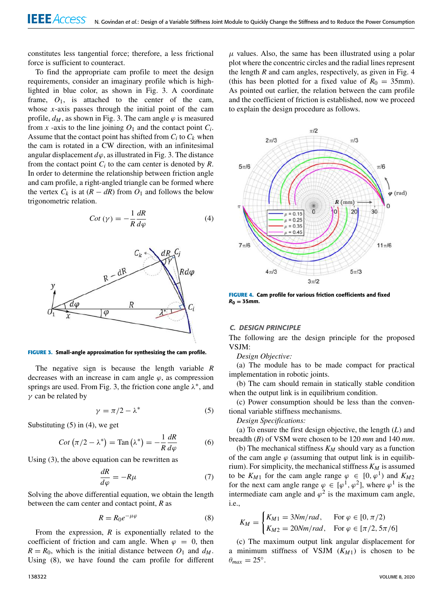constitutes less tangential force; therefore, a less frictional force is sufficient to counteract.

To find the appropriate cam profile to meet the design requirements, consider an imaginary profile which is highlighted in blue color, as shown in Fig. 3. A coordinate frame,  $O_1$ , is attached to the center of the cam, whose *x*-axis passes through the initial point of the cam profile,  $d_M$ , as shown in Fig. 3. The cam angle  $\varphi$  is measured from *x* -axis to the line joining  $O_1$  and the contact point  $C_i$ . Assume that the contact point has shifted from  $C_i$  to  $C_k$  when the cam is rotated in a CW direction, with an infinitesimal angular displacement  $d\varphi$ , as illustrated in Fig. 3. The distance from the contact point  $C_i$  to the cam center is denoted by  $R$ . In order to determine the relationship between friction angle and cam profile, a right-angled triangle can be formed where the vertex  $C_k$  is at  $(R - dR)$  from  $O_1$  and follows the below trigonometric relation.

$$
Cot \left(\gamma\right) = -\frac{1}{R} \frac{dR}{d\varphi} \tag{4}
$$



**FIGURE 3.** Small-angle approximation for synthesizing the cam profile.

The negative sign is because the length variable *R* decreases with an increase in cam angle  $\varphi$ , as compression springs are used. From Fig. 3, the friction cone angle  $\lambda^*$ , and  $\gamma$  can be related by

$$
\gamma = \pi/2 - \lambda^* \tag{5}
$$

Substituting  $(5)$  in  $(4)$ , we get

$$
Cot \left(\pi/2 - \lambda^*\right) = \text{Tan}\left(\lambda^*\right) = -\frac{1}{R}\frac{dR}{d\varphi} \tag{6}
$$

Using (3), the above equation can be rewritten as

$$
\frac{dR}{d\varphi} = -R\mu\tag{7}
$$

Solving the above differential equation, we obtain the length between the cam center and contact point, *R* as

$$
R = R_0 e^{-\mu \varphi} \tag{8}
$$

From the expression, *R* is exponentially related to the coefficient of friction and cam angle. When  $\varphi = 0$ , then  $R = R_0$ , which is the initial distance between  $O_1$  and  $d_M$ . Using (8), we have found the cam profile for different

 $\mu$  values. Also, the same has been illustrated using a polar plot where the concentric circles and the radial lines represent the length *R* and cam angles, respectively, as given in Fig. 4 (this has been plotted for a fixed value of  $R_0 = 35$ mm). As pointed out earlier, the relation between the cam profile and the coefficient of friction is established, now we proceed to explain the design procedure as follows.



**FIGURE 4.** Cam profile for various friction coefficients and fixed  $R_0 = 35$ *mm*.

## *C. DESIGN PRINCIPLE*

The following are the design principle for the proposed VSJM:

*Design Objective:*

(a) The module has to be made compact for practical implementation in robotic joints.

(b) The cam should remain in statically stable condition when the output link is in equilibrium condition.

(c) Power consumption should be less than the conventional variable stiffness mechanisms.

*Design Specifications:*

(a) To ensure the first design objective, the length (*L*) and breadth (*B*) of VSM were chosen to be 120 *mm* and 140 *mm*.

(b) The mechanical stiffness  $K_M$  should vary as a function of the cam angle  $\varphi$  (assuming that output link is in equilibrium). For simplicity, the mechanical stiffness *K<sup>M</sup>* is assumed to be  $K_{M1}$  for the cam angle range  $\varphi \in [0, \varphi^1)$  and  $K_{M2}$ for the next cam angle range  $\varphi \in [\varphi^1, \varphi^2]$ , where  $\varphi^1$  is the intermediate cam angle and  $\varphi^2$  is the maximum cam angle, i.e.,

$$
K_M = \begin{cases} K_{M1} = 3Nm/rad, & \text{For } \varphi \in [0, \pi/2) \\ K_{M2} = 20Nm/rad, & \text{For } \varphi \in [\pi/2, 5\pi/6] \end{cases}
$$

(c) The maximum output link angular displacement for a minimum stiffness of VSJM  $(K_{M1})$  is chosen to be  $\theta_{max} = 25^\circ.$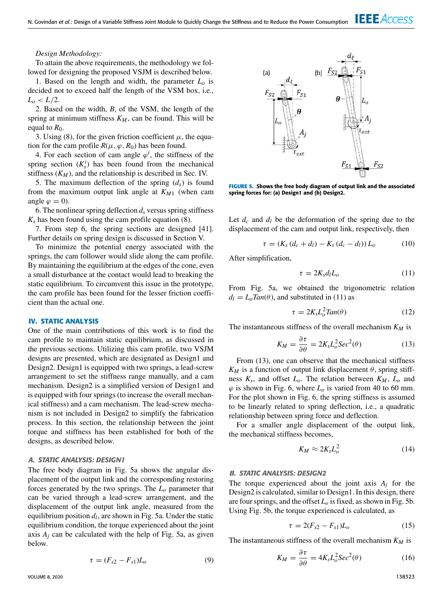# *Design Methodology:*

To attain the above requirements, the methodology we followed for designing the proposed VSJM is described below.

1. Based on the length and width, the parameter  $L_0$  is decided not to exceed half the length of the VSM box, i.e.,  $L_0 < L/2$ .

2. Based on the width, *B*, of the VSM, the length of the spring at minimum stiffness  $K_M$ , can be found. This will be equal to  $R_0$ .

3. Using (8), for the given friction coefficient  $\mu$ , the equation for the cam profile  $R(\mu, \varphi, R_0)$  has been found.

4. For each section of cam angle  $\varphi^i$ , the stiffness of the spring section  $(K<sub>s</sub><sup>i</sup>)$  has been found from the mechanical stiffness  $(K_M)$ , and the relationship is described in Sec. IV.

5. The maximum deflection of the spring (*ds*) is found from the maximum output link angle at *KM*<sup>1</sup> (when cam angle  $\varphi = 0$ ).

6. The nonlinear spring deflection  $d<sub>s</sub>$  versus spring stiffness  $K<sub>s</sub>$  has been found using the cam profile equation (8).

7. From step 6, the spring sections are designed [41]. Further details on spring design is discussed in Section V.

To minimize the potential energy associated with the springs, the cam follower would slide along the cam profile. By maintaining the equilibrium at the edges of the cone, even a small disturbance at the contact would lead to breaking the static equilibrium. To circumvent this issue in the prototype, the cam profile has been found for the lesser friction coefficient than the actual one.

# **IV. STATIC ANALYSIS**

One of the main contributions of this work is to find the cam profile to maintain static equilibrium, as discussed in the previous sections. Utilizing this cam profile, two VSJM designs are presented, which are designated as Design1 and Design2. Design1 is equipped with two springs, a lead-screw arrangement to set the stiffness range manually, and a cam mechanism. Design2 is a simplified version of Design1 and is equipped with four springs (to increase the overall mechanical stiffness) and a cam mechanism. The lead-screw mechanism is not included in Design2 to simplify the fabrication process. In this section, the relationship between the joint torque and stiffness has been established for both of the designs, as described below.

# *A. STATIC ANALYSIS: DESIGN1*

The free body diagram in Fig. 5a shows the angular displacement of the output link and the corresponding restoring forces generated by the two springs. The *L<sup>o</sup>* parameter that can be varied through a lead-screw arrangement, and the displacement of the output link angle, measured from the equilibrium position *d<sup>l</sup>* , are shown in Fig. 5a. Under the static equilibrium condition, the torque experienced about the joint axis  $A_j$  can be calculated with the help of Fig. 5a, as given below.

$$
\tau = (F_{s2} - F_{s1})L_o \tag{9}
$$



**FIGURE 5.** Shows the free body diagram of output link and the associated spring forces for: (a) Design1 and (b) Design2.

Let  $d_c$  and  $d_l$  be the deformation of the spring due to the displacement of the cam and output link, respectively, then

$$
\tau = (K_s (d_c + d_l) - K_s (d_c - d_l)) L_o \tag{10}
$$

After simplification,

$$
\tau = 2K_s d_l L_o \tag{11}
$$

From Fig. 5a, we obtained the trigonometric relation  $d_l = L_o \text{Tan}(\theta)$ , and substituted in (11) as

$$
\tau = 2K_s L_o^2 \text{Tan}(\theta) \tag{12}
$$

The instantaneous stiffness of the overall mechanism *K<sup>M</sup>* is

$$
K_M = \frac{\partial \tau}{\partial \theta} = 2K_s L_o^2 \text{Sec}^2(\theta) \tag{13}
$$

From (13), one can observe that the mechanical stiffness  $K_M$  is a function of output link displacement  $\theta$ , spring stiffness *K<sup>s</sup>* , and offset *Lo*. The relation between *K<sup>M</sup>* , *L<sup>o</sup>* and  $\varphi$  is shown in Fig. 6, where  $L_0$  is varied from 40 to 60 mm. For the plot shown in Fig. 6, the spring stiffness is assumed to be linearly related to spring deflection, i.e., a quadratic relationship between spring force and deflection.

For a smaller angle displacement of the output link, the mechanical stiffness becomes,

$$
K_M \approx 2K_s L_o^2 \tag{14}
$$

#### *B. STATIC ANALYSIS: DESIGN2*

The torque experienced about the joint axis  $A_i$  for the Design2 is calculated, similar to Design1. In this design, there are four springs, and the offset  $L<sub>o</sub>$  is fixed, as shown in Fig. 5b. Using Fig. 5b, the torque experienced is calculated, as

$$
\tau = 2(F_{s2} - F_{s1})L_o \tag{15}
$$

The instantaneous stiffness of the overall mechanism *K<sup>M</sup>* is

$$
K_M = \frac{\partial \tau}{\partial \theta} = 4K_s L_o^2 \text{Sec}^2(\theta) \tag{16}
$$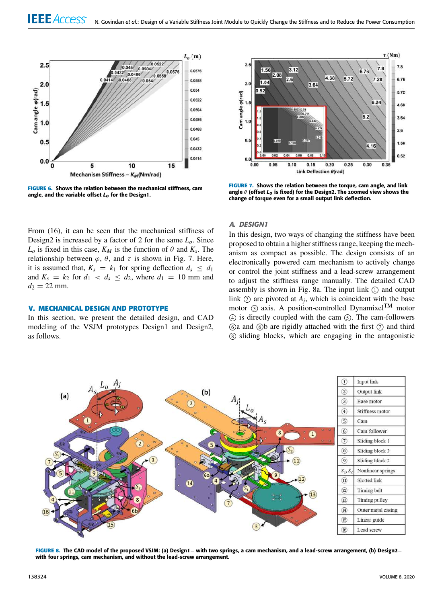

**FIGURE 6.** Shows the relation between the mechanical stiffness, cam angle, and the variable offset *Lo* for the Design1.



**FIGURE 7.** Shows the relation between the torque, cam angle, and link angle θ (offset *Lo* is fixed) for the Design2. The zoomed view shows the change of torque even for a small output link deflection.

# From (16), it can be seen that the mechanical stiffness of Design2 is increased by a factor of 2 for the same *Lo*. Since  $L_o$  is fixed in this case,  $K_M$  is the function of  $\theta$  and  $K_s$ . The relationship between  $\varphi$ ,  $\theta$ , and  $\tau$  is shown in Fig. 7. Here, it is assumed that,  $K_s = k_1$  for spring deflection  $d_s \leq d_1$ and  $K_s = k_2$  for  $d_1 < d_s \leq d_2$ , where  $d_1 = 10$  mm and  $d_2 = 22$  mm.

## **V. MECHANICAL DESIGN AND PROTOTYPE**

In this section, we present the detailed design, and CAD modeling of the VSJM prototypes Design1 and Design2, as follows.

## *A. DESIGN1*

In this design, two ways of changing the stiffness have been proposed to obtain a higher stiffness range, keeping the mechanism as compact as possible. The design consists of an electronically powered cam mechanism to actively change or control the joint stiffness and a lead-screw arrangement to adjust the stiffness range manually. The detailed CAD assembly is shown in Fig. 8a. The input link  $(1)$  and output link  $\odot$  are pivoted at  $A_j$ , which is coincident with the base motor  $\odot$  axis. A position-controlled Dynamixel<sup>TM</sup> motor <sup>4</sup> is directly coupled with the cam <sup>5</sup> . The cam-followers  $\circled{a}$  and  $\circled{b}$  are rigidly attached with the first  $\circled{b}$  and third <sup>8</sup> sliding blocks, which are engaging in the antagonistic



**FIGURE 8.** The CAD model of the proposed VSJM: (a) Design1− with two springs, a cam mechanism, and a lead-screw arrangement, (b) Design2− with four springs, cam mechanism, and without the lead-screw arrangement.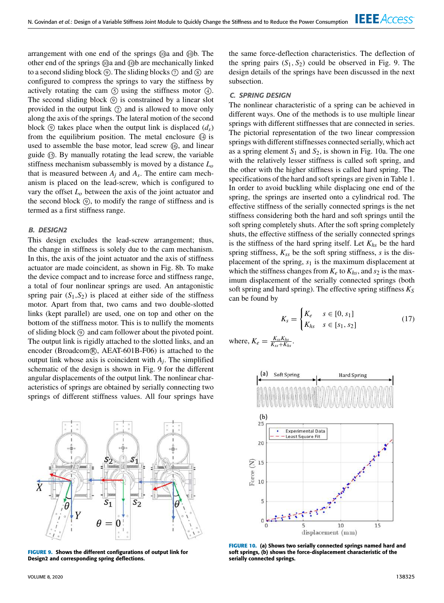arrangement with one end of the springs  $\omega$  and  $\omega$ b. The other end of the springs @a and @b are mechanically linked to a second sliding block  $\circled{9}$ . The sliding blocks  $\circled{7}$  and  $\circled{8}$  are configured to compress the springs to vary the stiffness by actively rotating the cam  $\circ$  using the stiffness motor  $\circ$ . The second sliding block  $\circled{0}$  is constrained by a linear slot provided in the output link  $(2)$  and is allowed to move only along the axis of the springs. The lateral motion of the second block  $\circled{0}$  takes place when the output link is displaced  $(d_s)$ from the equilibrium position. The metal enclosure  $\circledA$  is used to assemble the base motor, lead screw  $\omega$ , and linear guide <sup>15</sup> . By manually rotating the lead screw, the variable stiffness mechanism subassembly is moved by a distance *L<sup>o</sup>* that is measured between  $A_j$  and  $A_s$ . The entire cam mechanism is placed on the lead-screw, which is configured to vary the offset *L<sup>o</sup>* between the axis of the joint actuator and the second block  $(9)$ , to modify the range of stiffness and is termed as a first stiffness range.

## *B. DESIGN2*

This design excludes the lead-screw arrangement; thus, the change in stiffness is solely due to the cam mechanism. In this, the axis of the joint actuator and the axis of stiffness actuator are made coincident, as shown in Fig. 8b. To make the device compact and to increase force and stiffness range, a total of four nonlinear springs are used. An antagonistic spring pair  $(S_1, S_2)$  is placed at either side of the stiffness motor. Apart from that, two cams and two double-slotted links (kept parallel) are used, one on top and other on the bottom of the stiffness motor. This is to nullify the moments of sliding block <sup>9</sup> and cam follower about the pivoted point. The output link is rigidly attached to the slotted links, and an encoder (Broadcom®, AEAT-601B-F06) is attached to the output link whose axis is coincident with *A<sup>j</sup>* . The simplified schematic of the design is shown in Fig. 9 for the different angular displacements of the output link. The nonlinear characteristics of springs are obtained by serially connecting two springs of different stiffness values. All four springs have



**FIGURE 9.** Shows the different configurations of output link for Design2 and corresponding spring deflections.

the same force-deflection characteristics. The deflection of the spring pairs  $(S_1, S_2)$  could be observed in Fig. 9. The design details of the springs have been discussed in the next subsection.

#### *C. SPRING DESIGN*

The nonlinear characteristic of a spring can be achieved in different ways. One of the methods is to use multiple linear springs with different stiffnesses that are connected in series. The pictorial representation of the two linear compression springs with different stiffnesses connected serially, which act as a spring element  $S_1$  and  $S_2$ , is shown in Fig. 10a. The one with the relatively lesser stiffness is called soft spring, and the other with the higher stiffness is called hard spring. The specifications of the hard and soft springs are given in Table 1. In order to avoid buckling while displacing one end of the spring, the springs are inserted onto a cylindrical rod. The effective stiffness of the serially connected springs is the net stiffness considering both the hard and soft springs until the soft spring completely shuts. After the soft spring completely shuts, the effective stiffness of the serially connected springs is the stiffness of the hard spring itself. Let *Khs* be the hard spring stiffness,  $K_{ss}$  be the soft spring stiffness, *s* is the displacement of the spring,  $s_1$  is the maximum displacement at which the stiffness changes from  $K_e$  to  $K_{hs}$ , and  $s_2$  is the maximum displacement of the serially connected springs (both soft spring and hard spring). The effective spring stiffness *K<sup>S</sup>* can be found by

$$
K_s = \begin{cases} K_e & s \in [0, s_1] \\ K_{hs} & s \in [s_1, s_2] \end{cases}
$$
 (17)

where,  $K_e = \frac{K_{ss}K_{hs}}{K_{ss}+K_{hs}}$ .



**FIGURE 10.** (a) Shows two serially connected springs named hard and soft springs, (b) shows the force-displacement characteristic of the serially connected springs.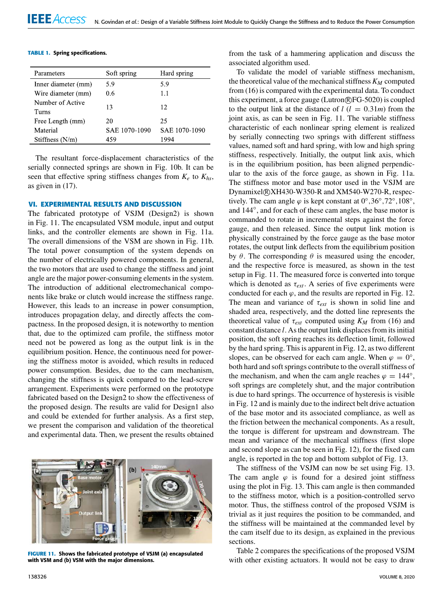|  |  | <b>TABLE 1. Spring specifications.</b> |
|--|--|----------------------------------------|
|--|--|----------------------------------------|

| Parameters                | Soft spring   | Hard spring   |
|---------------------------|---------------|---------------|
| Inner diameter (mm)       | 5.9           | 5.9           |
| Wire diameter (mm)        | 0.6           | 1.1           |
| Number of Active<br>Turns | 13            | 12            |
| Free Length (mm)          | 20            | 25            |
| Material                  | SAE 1070-1090 | SAE 1070-1090 |
| Stiffness $(N/m)$         | 459           | 1994          |

The resultant force-displacement characteristics of the serially connected springs are shown in Fig. 10b. It can be seen that effective spring stiffness changes from  $K_e$  to  $K_{hs}$ , as given in (17).

## **VI. EXPERIMENTAL RESULTS AND DISCUSSION**

The fabricated prototype of VSJM (Design2) is shown in Fig. 11. The encapsulated VSM module, input and output links, and the controller elements are shown in Fig. 11a. The overall dimensions of the VSM are shown in Fig. 11b. The total power consumption of the system depends on the number of electrically powered components. In general, the two motors that are used to change the stiffness and joint angle are the major power-consuming elements in the system. The introduction of additional electromechanical components like brake or clutch would increase the stiffness range. However, this leads to an increase in power consumption, introduces propagation delay, and directly affects the compactness. In the proposed design, it is noteworthy to mention that, due to the optimized cam profile, the stiffness motor need not be powered as long as the output link is in the equilibrium position. Hence, the continuous need for powering the stiffness motor is avoided, which results in reduced power consumption. Besides, due to the cam mechanism, changing the stiffness is quick compared to the lead-screw arrangement. Experiments were performed on the prototype fabricated based on the Design2 to show the effectiveness of the proposed design. The results are valid for Design1 also and could be extended for further analysis. As a first step, we present the comparison and validation of the theoretical and experimental data. Then, we present the results obtained



**FIGURE 11.** Shows the fabricated prototype of VSJM (a) encapsulated with VSM and (b) VSM with the major dimensions.

from the task of a hammering application and discuss the associated algorithm used.

To validate the model of variable stiffness mechanism, the theoretical value of the mechanical stiffness*K<sup>M</sup>* computed from (16) is compared with the experimental data. To conduct this experiment, a force gauge (Lutron R FG-5020) is coupled to the output link at the distance of  $l$  ( $l = 0.31m$ ) from the joint axis, as can be seen in Fig. 11. The variable stiffness characteristic of each nonlinear spring element is realized by serially connecting two springs with different stiffness values, named soft and hard spring, with low and high spring stiffness, respectively. Initially, the output link axis, which is in the equilibrium position, has been aligned perpendicular to the axis of the force gauge, as shown in Fig. 11a. The stiffness motor and base motor used in the VSJM are Dynamixel R XH430-W350-R and XM540-W270-R, respectively. The cam angle  $\varphi$  is kept constant at  $0^{\circ}, 36^{\circ}, 72^{\circ}, 108^{\circ}$ , and 144◦ , and for each of these cam angles, the base motor is commanded to rotate in incremental steps against the force gauge, and then released. Since the output link motion is physically constrained by the force gauge as the base motor rotates, the output link deflects from the equilibrium position by  $\theta$ . The corresponding  $\theta$  is measured using the encoder, and the respective force is measured, as shown in the test setup in Fig. 11. The measured force is converted into torque which is denoted as  $\tau_{ext}$ . A series of five experiments were conducted for each  $\varphi$ , and the results are reported in Fig. 12. The mean and variance of  $\tau_{ext}$  is shown in solid line and shaded area, respectively, and the dotted line represents the theoretical value of  $\tau_{ext}$  computed using  $K_M$  from (16) and constant distance *l*. As the output link displaces from its initial position, the soft spring reaches its deflection limit, followed by the hard spring. This is apparent in Fig. 12, as two different slopes, can be observed for each cam angle. When  $\varphi = 0^{\circ}$ , both hard and soft springs contribute to the overall stiffness of the mechanism, and when the cam angle reaches  $\varphi = 144^\circ$ , soft springs are completely shut, and the major contribution is due to hard springs. The occurrence of hysteresis is visible in Fig. 12 and is mainly due to the indirect belt drive actuation of the base motor and its associated compliance, as well as the friction between the mechanical components. As a result, the torque is different for upstream and downstream. The mean and variance of the mechanical stiffness (first slope and second slope as can be seen in Fig. 12), for the fixed cam angle, is reported in the top and bottom subplot of Fig. 13.

The stiffness of the VSJM can now be set using Fig. 13. The cam angle  $\varphi$  is found for a desired joint stiffness using the plot in Fig. 13. This cam angle is then commanded to the stiffness motor, which is a position-controlled servo motor. Thus, the stiffness control of the proposed VSJM is trivial as it just requires the position to be commanded, and the stiffness will be maintained at the commanded level by the cam itself due to its design, as explained in the previous sections.

Table 2 compares the specifications of the proposed VSJM with other existing actuators. It would not be easy to draw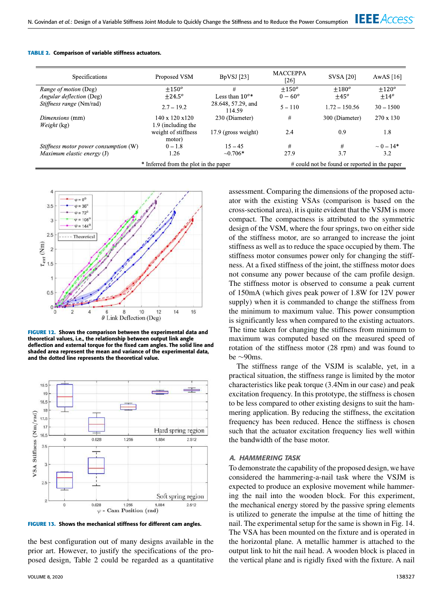

| <b>Specifications</b>                 | Proposed VSM                          | $BpVSI$ [23]                 | <b>MACCEPPA</b><br>[26]                       | <b>SVSA [20]</b> | AwAS $[16]$      |
|---------------------------------------|---------------------------------------|------------------------------|-----------------------------------------------|------------------|------------------|
| <i>Range of motion</i> (Deg)          | $+150^{\circ}$                        | #                            | $+150^o$                                      | $+180^o$         | $+120^{\circ}$   |
| <i>Angular deflection</i> (Deg)       | $+24.5^{\circ}$                       | Less than $10^{o*}$          | $0 - 60^{\circ}$                              | $+45^{\circ}$    | $+14^{o}$        |
| Stiffness range (Nm/rad)              | $2.7 - 19.2$                          | 28.648, 57.29, and<br>114.59 | $5 - 110$                                     | $1.72 - 150.56$  | $30 - 1500$      |
| Dimensions (mm)                       | $140 \times 120 \times 120$           | 230 (Diameter)               | #                                             | 300 (Diameter)   | $270 \times 130$ |
| Weight (kg)                           | 1.9 (including the                    |                              |                                               |                  |                  |
|                                       | weight of stiffness                   | 17.9 (gross weight)          | 2.4                                           | 0.9              | 1.8              |
|                                       | motor)                                |                              |                                               |                  |                  |
| Stiffness motor power consumption (W) | $0 - 1.8$                             | $15 - 45$                    | #                                             | #                | $\sim 0-14*$     |
| Maximum elastic energy $(J)$          | 1.26                                  | $\sim 0.706*$                | 27.9                                          | 3.7              | 3.2              |
|                                       | * Inferred from the plot in the paper |                              | # could not be found or reported in the paper |                  |                  |

### **TABLE 2.** Comparison of variable stiffness actuators.



**FIGURE 12.** Shows the comparison between the experimental data and theoretical values, i.e., the relationship between output link angle deflection and external torque for the fixed cam angles. The solid line and shaded area represent the mean and variance of the experimental data, and the dotted line represents the theoretical value.



**FIGURE 13.** Shows the mechanical stiffness for different cam angles.

the best configuration out of many designs available in the prior art. However, to justify the specifications of the proposed design, Table 2 could be regarded as a quantitative assessment. Comparing the dimensions of the proposed actuator with the existing VSAs (comparison is based on the cross-sectional area), it is quite evident that the VSJM is more compact. The compactness is attributed to the symmetric design of the VSM, where the four springs, two on either side of the stiffness motor, are so arranged to increase the joint stiffness as well as to reduce the space occupied by them. The stiffness motor consumes power only for changing the stiffness. At a fixed stiffness of the joint, the stiffness motor does not consume any power because of the cam profile design. The stiffness motor is observed to consume a peak current of 150mA (which gives peak power of 1.8W for 12V power supply) when it is commanded to change the stiffness from the minimum to maximum value. This power consumption is significantly less when compared to the existing actuators. The time taken for changing the stiffness from minimum to maximum was computed based on the measured speed of rotation of the stiffness motor (28 rpm) and was found to be ∼90ms.

The stiffness range of the VSJM is scalable, yet, in a practical situation, the stiffness range is limited by the motor characteristics like peak torque (3.4Nm in our case) and peak excitation frequency. In this prototype, the stiffness is chosen to be less compared to other existing designs to suit the hammering application. By reducing the stiffness, the excitation frequency has been reduced. Hence the stiffness is chosen such that the actuator excitation frequency lies well within the bandwidth of the base motor.

## *A. HAMMERING TASK*

To demonstrate the capability of the proposed design, we have considered the hammering-a-nail task where the VSJM is expected to produce an explosive movement while hammering the nail into the wooden block. For this experiment, the mechanical energy stored by the passive spring elements is utilized to generate the impulse at the time of hitting the nail. The experimental setup for the same is shown in Fig. 14. The VSA has been mounted on the fixture and is operated in the horizontal plane. A metallic hammer is attached to the output link to hit the nail head. A wooden block is placed in the vertical plane and is rigidly fixed with the fixture. A nail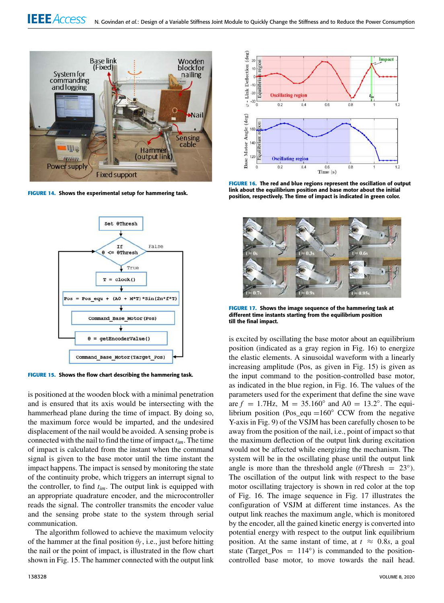

**FIGURE 14.** Shows the experimental setup for hammering task.



**FIGURE 15.** Shows the flow chart describing the hammering task.

is positioned at the wooden block with a minimal penetration and is ensured that its axis would be intersecting with the hammerhead plane during the time of impact. By doing so, the maximum force would be imparted, and the undesired displacement of the nail would be avoided. A sensing probe is connected with the nail to find the time of impact *tim*. The time of impact is calculated from the instant when the command signal is given to the base motor until the time instant the impact happens. The impact is sensed by monitoring the state of the continuity probe, which triggers an interrupt signal to the controller, to find *tim*. The output link is equipped with an appropriate quadrature encoder, and the microcontroller reads the signal. The controller transmits the encoder value and the sensing probe state to the system through serial communication.

The algorithm followed to achieve the maximum velocity of the hammer at the final position  $\theta_f$ , i.e., just before hitting the nail or the point of impact, is illustrated in the flow chart shown in Fig. 15. The hammer connected with the output link



**FIGURE 16.** The red and blue regions represent the oscillation of output link about the equilibrium position and base motor about the initial position, respectively. The time of impact is indicated in green color.



**FIGURE 17.** Shows the image sequence of the hammering task at different time instants starting from the equilibrium position till the final impact.

is excited by oscillating the base motor about an equilibrium position (indicated as a gray region in Fig. 16) to energize the elastic elements. A sinusoidal waveform with a linearly increasing amplitude (Pos, as given in Fig. 15) is given as the input command to the position-controlled base motor, as indicated in the blue region, in Fig. 16. The values of the parameters used for the experiment that define the sine wave are  $f = 1.7$  Hz,  $M = 35.160^{\circ}$  and  $A0 = 13.2^{\circ}$ . The equilibrium position (Pos\_equ =160 $\degree$  CCW from the negative Y-axis in Fig. 9) of the VSJM has been carefully chosen to be away from the position of the nail, i.e., point of impact so that the maximum deflection of the output link during excitation would not be affected while energizing the mechanism. The system will be in the oscillating phase until the output link angle is more than the threshold angle ( $\theta$ Thresh = 23°). The oscillation of the output link with respect to the base motor oscillating trajectory is shown in red color at the top of Fig. 16. The image sequence in Fig. 17 illustrates the configuration of VSJM at different time instances. As the output link reaches the maximum angle, which is monitored by the encoder, all the gained kinetic energy is converted into potential energy with respect to the output link equilibrium position. At the same instant of time, at  $t \approx 0.8s$ , a goal state (Target\_Pos =  $114^\circ$ ) is commanded to the positioncontrolled base motor, to move towards the nail head.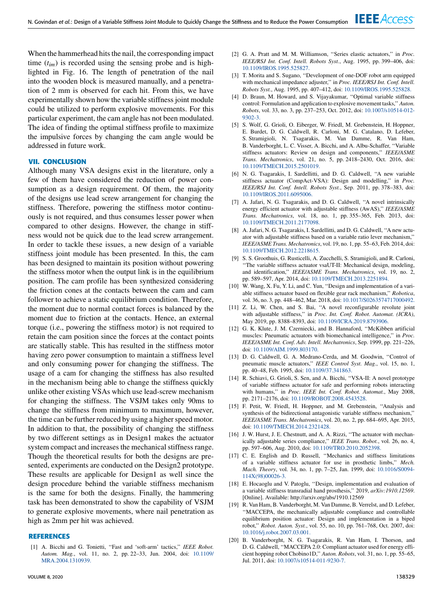When the hammerhead hits the nail, the corresponding impact time  $(t_{im})$  is recorded using the sensing probe and is highlighted in Fig. 16. The length of penetration of the nail into the wooden block is measured manually, and a penetration of 2 mm is observed for each hit. From this, we have experimentally shown how the variable stiffness joint module could be utilized to perform explosive movements. For this particular experiment, the cam angle has not been modulated. The idea of finding the optimal stiffness profile to maximize the impulsive forces by changing the cam angle would be addressed in future work.

## **VII. CONCLUSION**

Although many VSA designs exist in the literature, only a few of them have considered the reduction of power consumption as a design requirement. Of them, the majority of the designs use lead screw arrangement for changing the stiffness. Therefore, powering the stiffness motor continuously is not required, and thus consumes lesser power when compared to other designs. However, the change in stiffness would not be quick due to the lead screw arrangement. In order to tackle these issues, a new design of a variable stiffness joint module has been presented. In this, the cam has been designed to maintain its position without powering the stiffness motor when the output link is in the equilibrium position. The cam profile has been synthesized considering the friction cones at the contacts between the cam and cam follower to achieve a static equilibrium condition. Therefore, the moment due to normal contact forces is balanced by the moment due to friction at the contacts. Hence, an external torque (i.e., powering the stiffness motor) is not required to retain the cam position since the forces at the contact points are statically stable. This has resulted in the stiffness motor having zero power consumption to maintain a stiffness level and only consuming power for changing the stiffness. The usage of a cam for changing the stiffness has also resulted in the mechanism being able to change the stiffness quickly unlike other existing VSAs which use lead-screw mechanism for changing the stiffness. The VSJM takes only 90ms to change the stiffness from minimum to maximum, however, the time can be further reduced by using a higher speed motor. In addition to that, the possibility of changing the stiffness by two different settings as in Design1 makes the actuator system compact and increases the mechanical stiffness range. Though the theoretical results for both the designs are presented, experiments are conducted on the Design2 prototype. These results are applicable for Design1 as well since the design procedure behind the variable stiffness mechanism is the same for both the designs. Finally, the hammering task has been demonstrated to show the capability of VSJM to generate explosive movements, where nail penetration as high as 2mm per hit was achieved.

## **REFERENCES**

[1] A. Bicchi and G. Tonietti, ''Fast and 'soft-arm' tactics,'' *IEEE Robot. Autom. Mag.*, vol. 11, no. 2, pp. 22–33, Jun. 2004, doi: 10.1109/ MRA.2004.1310939.

- [2] G. A. Pratt and M. M. Williamson, ''Series elastic actuators,'' in *Proc. IEEE/RSJ Int. Conf. Intell. Robots Syst.*, Aug. 1995, pp. 399–406, doi: 10.1109/IROS.1995.525827.
- [3] T. Morita and S. Sugano, ''Development of one-DOF robot arm equipped with mechanical impedance adjuster,'' in *Proc. IEEE/RSJ Int. Conf. Intell. Robots Syst.*, Aug. 1995, pp. 407–412, doi: 10.1109/IROS.1995.525828.
- [4] D. Braun, M. Howard, and S. Vijayakumar, "Optimal variable stiffness control: Formulation and application to explosive movement tasks,'' *Auton. Robots*, vol. 33, no. 3, pp. 237–253, Oct. 2012, doi: 10.1007/s10514-012- 9302-3.
- [5] S. Wolf, G. Grioli, O. Eiberger, W. Friedl, M. Grebenstein, H. Hoppner, E. Burdet, D. G. Caldwell, R. Carloni, M. G. Catalano, D. Lefeber, S. Stramigioli, N. Tsagarakis, M. Van Damme, R. Van Ham, B. Vanderborght, L. C. Visser, A. Bicchi, and A. Albu-Schaffer, ''Variable stiffness actuators: Review on design and components,'' *IEEE/ASME Trans. Mechatronics*, vol. 21, no. 5, pp. 2418–2430, Oct. 2016, doi: 10.1109/TMECH.2015.2501019.
- [6] N. G. Tsagarakis, I. Sardellitti, and D. G. Caldwell, ''A new variable stiffness actuator (CompAct-VSA): Design and modelling,'' in *Proc. IEEE/RSJ Int. Conf. Intell. Robots Syst.*, Sep. 2011, pp. 378–383, doi: 10.1109/IROS.2011.6095006.
- [7] A. Jafari, N. G. Tsagarakis, and D. G. Caldwell, ''A novel intrinsically energy efficient actuator with adjustable stiffness (AwAS),'' *IEEE/ASME Trans. Mechatronics*, vol. 18, no. 1, pp. 355–365, Feb. 2013, doi: 10.1109/TMECH.2011.2177098.
- [8] A. Jafari, N. G. Tsagarakis, I. Sardellitti, and D. G. Caldwell, ''A new actuator with adjustable stiffness based on a variable ratio lever mechanism,'' *IEEE/ASME Trans. Mechatronics*, vol. 19, no. 1, pp. 55–63, Feb. 2014, doi: 10.1109/TMECH.2012.2218615.
- [9] S. S. Groothuis, G. Rusticelli, A. Zucchelli, S. Stramigioli, and R. Carloni, ''The variable stiffness actuator vsaUT-II: Mechanical design, modeling, and identification,'' *IEEE/ASME Trans. Mechatronics*, vol. 19, no. 2, pp. 589–597, Apr. 2014, doi: 10.1109/TMECH.2013.2251894.
- [10] W. Wang, X. Fu, Y. Li, and C. Yun, "Design and implementation of a variable stiffness actuator based on flexible gear rack mechanism,'' *Robotica*, vol. 36, no. 3, pp. 448–462, Mar. 2018, doi: 10.1017/S0263574717000492.
- [11] Z. Li, W. Chen, and S. Bai, "A novel reconfigurable revolute joint with adjustable stiffness,'' in *Proc. Int. Conf. Robot. Automat. (ICRA)*, May 2019, pp. 8388–8393, doi: 10.1109/ICRA.2019.8793906.
- [12] G. K. Klute, J. M. Czerniecki, and B. Hannaford, ''McKibben artificial muscles: Pneumatic actuators with biomechanical intelligence,'' in *Proc. IEEE/ASME Int. Conf. Adv. Intell. Mechatronics*, Sep. 1999, pp. 221–226, doi: 10.1109/AIM.1999.803170.
- [13] D. G. Caldwell, G. A. Medrano-Cerda, and M. Goodwin, "Control of pneumatic muscle actuators,'' *IEEE Control Syst. Mag.*, vol. 15, no. 1, pp. 40–48, Feb. 1995, doi: 10.1109/37.341863.
- [14] R. Schiavi, G. Grioli, S. Sen, and A. Bicchi, "VSA-II: A novel prototype of variable stiffness actuator for safe and performing robots interacting with humans,'' in *Proc. IEEE Int. Conf. Robot. Automat.*, May 2008, pp. 2171–2176, doi: 10.1109/ROBOT.2008.4543528.
- [15] F. Petit, W. Friedl, H. Hoppner, and M. Grebenstein, ''Analysis and synthesis of the bidirectional antagonistic variable stiffness mechanism,'' *IEEE/ASME Trans. Mechatronics*, vol. 20, no. 2, pp. 684–695, Apr. 2015, doi: 10.1109/TMECH.2014.2321428.
- [16] J. W. Hurst, J. E. Chestnutt, and A. A. Rizzi, "The actuator with mechanically adjustable series compliance,'' *IEEE Trans. Robot.*, vol. 26, no. 4, pp. 597–606, Aug. 2010, doi: 10.1109/TRO.2010.2052398.
- [17] C. E. English and D. Russell, ''Mechanics and stiffness limitations of a variable stiffness actuator for use in prosthetic limbs,'' *Mech. Mach. Theory*, vol. 34, no. 1, pp. 7–25, Jan. 1999, doi: 10.1016/S0094- 114X(98)00026-3.
- [18] E. Hocaoglu and V. Patoglu, ''Design, implementation and evaluation of a variable stiffness transradial hand prosthesis,'' 2019, *arXiv:1910.12569*. [Online]. Available: http://arxiv.org/abs/1910.12569
- [19] R. Van Ham, B. Vanderborght, M. Van Damme, B. Verrelst, and D. Lefeber, ''MACCEPA, the mechanically adjustable compliance and controllable equilibrium position actuator: Design and implementation in a biped robot,'' *Robot. Auton. Syst.*, vol. 55, no. 10, pp. 761–768, Oct. 2007, doi: 10.1016/j.robot.2007.03.001.
- [20] B. Vanderborght, N. G. Tsagarakis, R. Van Ham, I. Thorson, and D. G. Caldwell, ''MACCEPA 2.0: Compliant actuator used for energy efficient hopping robot Chobino1D,'' *Auton. Robots*, vol. 31, no. 1, pp. 55–65, Jul. 2011, doi: 10.1007/s10514-011-9230-7.